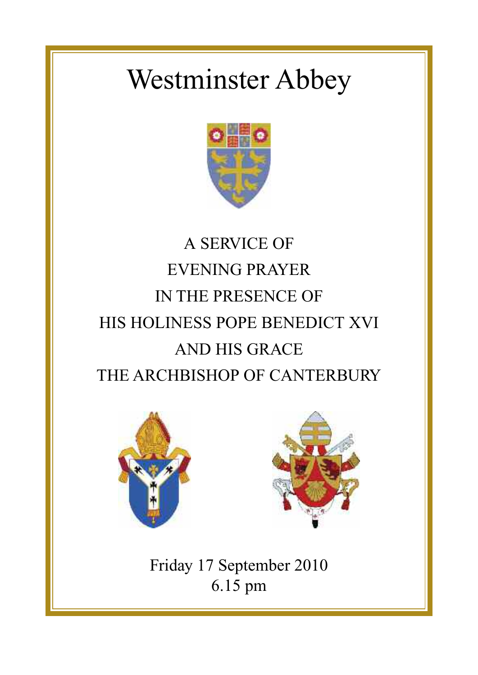# Westminster Abbey



## A SERVICE OF EVENING PRAYER IN THE PRESENCE OF HIS HOLINESS POPE BENEDICT XVI AND HIS GRACE THE ARCHBISHOP OF CANTERBURY





Friday 17 September 2010 6.15 pm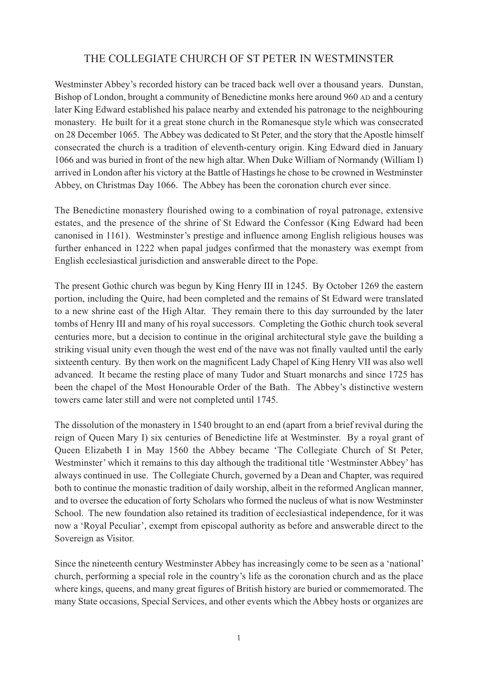## THE COLLEGIATE CHURCH OF ST PETER IN WESTMINSTER

Westminster Abbey's recorded history can be traced back well over a thousand years. Dunstan, Bishop of London, brought a community of Benedictine monks here around 960 AD and a century later King Edward established his palace nearby and extended his patronage to the neighbouring monastery. He built for it a great stone church in the Romanesque style which was consecrated on 28 December 1065. The Abbey was dedicated to St Peter, and the story that the Apostle himself consecrated the church is a tradition of eleventh-century origin. King Edward died in January 1066 and was buried in front of the new high altar. When Duke William of Normandy (William I) arrived in London after his victory at the Battle of Hastings he chose to be crowned in Westminster Abbey, on Christmas Day 1066. The Abbey has been the coronation church ever since.

The Benedictine monastery flourished owing to a combination of royal patronage, extensive estates, and the presence of the shrine of St Edward the Confessor (King Edward had been canonised in 1161). Westminster's prestige and influence among English religious houses was further enhanced in 1222 when papal judges confirmed that the monastery was exempt from English ecclesiastical jurisdiction and answerable direct to the Pope.

The present Gothic church was begun by King Henry III in 1245. By October 1269 the eastern portion, including the Quire, had been completed and the remains of St Edward were translated to a new shrine east of the High Altar. They remain there to this day surrounded by the later tombs of Henry III and many of his royal successors. Completing the Gothic church took several centuries more, but a decision to continue in the original architectural style gave the building a striking visual unity even though the west end of the nave was not finally vaulted until the early sixteenth century. By then work on the magnificent Lady Chapel of King Henry VII was also well advanced. It became the resting place of many Tudor and Stuart monarchs and since 1725 has been the chapel of the Most Honourable Order of the Bath. The Abbey's distinctive western towers came later still and were not completed until 1745.

The dissolution of the monastery in 1540 brought to an end (apart from a brief revival during the reign of Queen Mary I) six centuries of Benedictine life at Westminster. By a royal grant of Queen Elizabeth I in May 1560 the Abbey became 'The Collegiate Church of St Peter, Westminster' which it remains to this day although the traditional title 'Westminster Abbey' has always continued in use. The Collegiate Church, governed by a Dean and Chapter, was required both to continue the monastic tradition of daily worship, albeit in the reformed Anglican manner, and to oversee the education of forty Scholars who formed the nucleus of what is now Westminster School. The new foundation also retained its tradition of ecclesiastical independence, for it was now a 'Royal Peculiar', exempt from episcopal authority as before and answerable direct to the Sovereign as Visitor.

Since the nineteenth century Westminster Abbey has increasingly come to be seen as a 'national' church, performing a special role in the country's life as the coronation church and as the place where kings, queens, and many great figures of British history are buried or commemorated. The many State occasions, Special Services, and other events which the Abbey hosts or organizes are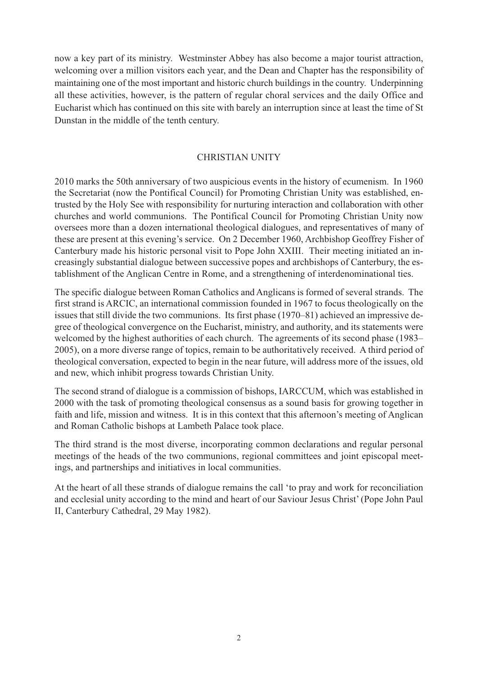now a key part of its ministry. Westminster Abbey has also become a major tourist attraction, welcoming over a million visitors each year, and the Dean and Chapter has the responsibility of maintaining one of the most important and historic church buildings in the country. Underpinning all these activities, however, is the pattern of regular choral services and the daily Office and Eucharist which has continued on this site with barely an interruption since at least the time of St Dunstan in the middle of the tenth century.

#### CHRISTIAN UNITY

2010 marks the 50th anniversary of two auspicious events in the history of ecumenism. In 1960 the Secretariat (now the Pontifical Council) for Promoting Christian Unity was established, entrusted by the Holy See with responsibility for nurturing interaction and collaboration with other churches and world communions. The Pontifical Council for Promoting Christian Unity now oversees more than a dozen international theological dialogues, and representatives of many of these are present at this evening's service. On 2 December 1960, Archbishop Geoffrey Fisher of Canterbury made his historic personal visit to Pope John XXIII. Their meeting initiated an increasingly substantial dialogue between successive popes and archbishops of Canterbury, the establishment of the Anglican Centre in Rome, and a strengthening of interdenominational ties.

The specific dialogue between Roman Catholics and Anglicans is formed of several strands. The first strand is ARCIC, an international commission founded in 1967 to focus theologically on the issues that still divide the two communions. Its first phase (1970–81) achieved an impressive degree of theological convergence on the Eucharist, ministry, and authority, and its statements were welcomed by the highest authorities of each church. The agreements of its second phase (1983– 2005), on a more diverse range of topics, remain to be authoritatively received. A third period of theological conversation, expected to begin in the near future, will address more of the issues, old and new, which inhibit progress towards Christian Unity.

The second strand of dialogue is a commission of bishops, IARCCUM, which was established in 2000 with the task of promoting theological consensus as a sound basis for growing together in faith and life, mission and witness. It is in this context that this afternoon's meeting of Anglican and Roman Catholic bishops at Lambeth Palace took place.

The third strand is the most diverse, incorporating common declarations and regular personal meetings of the heads of the two communions, regional committees and joint episcopal meetings, and partnerships and initiatives in local communities.

At the heart of all these strands of dialogue remains the call 'to pray and work for reconciliation and ecclesial unity according to the mind and heart of our Saviour Jesus Christ'(Pope John Paul II, Canterbury Cathedral, 29 May 1982).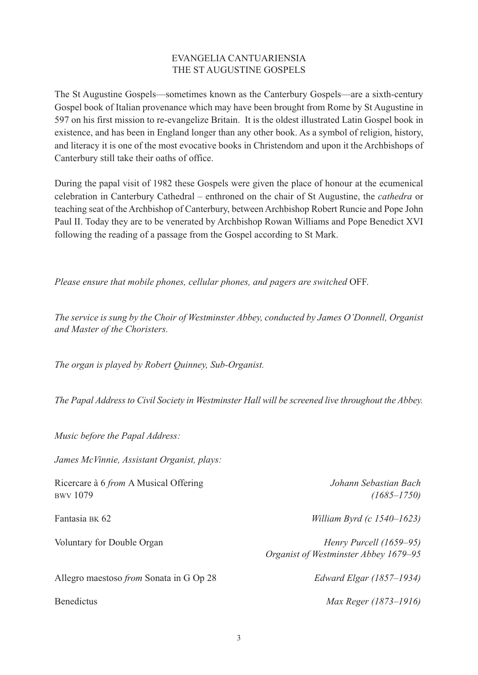## EVANGELIA CANTUARIENSIA THE ST AUGUSTINE GOSPELS

The St Augustine Gospels—sometimes known as the Canterbury Gospels—are a sixth-century Gospel book of Italian provenance which may have been brought from Rome by St Augustine in 597 on his first mission to re-evangelize Britain. It is the oldest illustrated Latin Gospel book in existence, and has been in England longer than any other book. As a symbol of religion, history, and literacy it is one of the most evocative books in Christendom and upon it the Archbishops of Canterbury still take their oaths of office.

During the papal visit of 1982 these Gospels were given the place of honour at the ecumenical celebration in Canterbury Cathedral – enthroned on the chair of St Augustine, the *cathedra* or teaching seat of the Archbishop of Canterbury, between Archbishop Robert Runcie and Pope John Paul II. Today they are to be venerated by Archbishop Rowan Williams and Pope Benedict XVI following the reading of a passage from the Gospel according to St Mark.

*Please ensure that mobile phones, cellular phones, and pagers are switched* OFF.

*The service is sung by the Choir of Westminster Abbey, conducted by James O'Donnell, Organist and Master of the Choristers.*

*The organ is played by Robert Quinney, Sub-Organist.*

*The Papal Address to Civil Society in Westminster Hall will be screened live throughout the Abbey.*

*Music before the Papal Address:*

*James McVinnie, Assistant Organist, plays:*

Ricercare à 6 *from* A Musical Offering *Johann Sebastian Bach* BWV 1079 *(1685–1750)* Fantasia BK 62 *William Byrd (c 1540–1623)* Voluntary for Double Organ *Henry Purcell (1659–95) Organist of Westminster Abbey 1679–95* Allegro maestoso *from* Sonata in G Op 28 *Edward Elgar (1857–1934)* Benedictus *Max Reger (1873–1916)*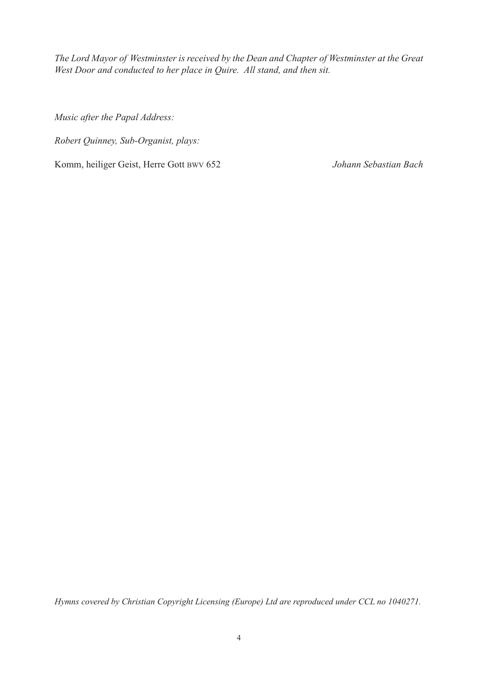*The Lord Mayor of Westminster is received by the Dean and Chapter of Westminster at the Great West Door and conducted to her place in Quire. All stand, and then sit.*

*Music after the Papal Address:*

*Robert Quinney, Sub-Organist, plays:*

Komm, heiliger Geist, Herre Gott BWV 652 *Johann Sebastian Bach*

*Hymns covered by Christian Copyright Licensing (Europe) Ltd are reproduced under CCL no 1040271.*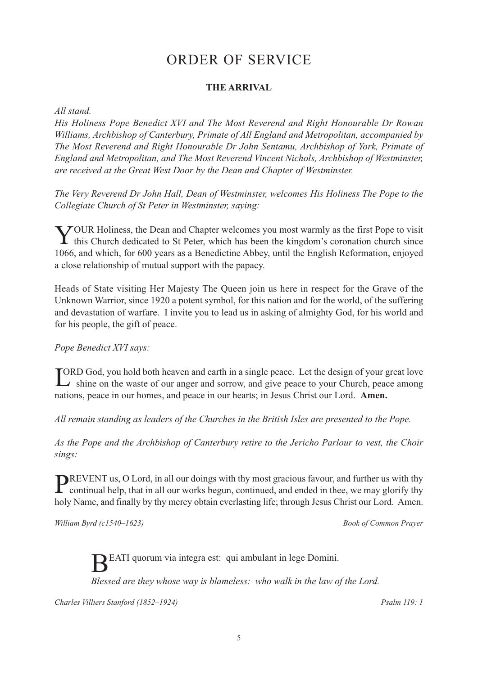## ORDER OF SERVICE

#### **THE ARRIVAL**

#### *All stand.*

*His Holiness Pope Benedict XVI and The Most Reverend and Right Honourable Dr Rowan Williams, Archbishop of Canterbury, Primate of All England and Metropolitan, accompanied by The Most Reverend and Right Honourable Dr John Sentamu, Archbishop of York, Primate of England and Metropolitan, and The Most Reverend Vincent Nichols, Archbishop of Westminster, are received at the Great West Door by the Dean and Chapter of Westminster.*

*The Very Reverend Dr John Hall, Dean of Westminster, welcomes His Holiness The Pope to the Collegiate Church of St Peter in Westminster, saying:*

YOUR Holiness, the Dean and Chapter welcomes you most warmly as the first Pope to visit this Church dedicated to St Peter, which has been the kingdom's coronation church since 1066, and which, for 600 years as a Benedictine Abbey, until the English Reformation, enjoyed a close relationship of mutual support with the papacy.

Heads of State visiting Her Majesty The Queen join us here in respect for the Grave of the Unknown Warrior, since 1920 a potent symbol, for this nation and for the world, of the suffering and devastation of warfare. I invite you to lead us in asking of almighty God, for his world and for his people, the gift of peace.

#### *Pope Benedict XVI says:*

LORD God, you hold both heaven and earth in a single peace. Let the design of your great love<br>shine on the waste of our anger and sorrow, and give peace to your Church, peace among shine on the waste of our anger and sorrow, and give peace to your Church, peace among nations, peace in our homes, and peace in our hearts; in Jesus Christ our Lord. **Amen.**

*All remain standing as leaders of the Churches in the British Isles are presented to the Pope.*

*As the Pope and the Archbishop of Canterbury retire to the Jericho Parlour to vest, the Choir sings:*

REVENT us, O Lord, in all our doings with thy most gracious favour, and further us with thy continual help, that in all our works begun, continued, and ended in thee, we may glorify thy holy Name, and finally by thy mercy obtain everlasting life; through Jesus Christ our Lord. Amen.

*William Byrd (c1540–1623) Book of Common Prayer*

BEATI quorum via integra est: qui ambulant in lege Domini.

*Blessed are they whose way is blameless: who walk in the law of the Lord.*

*Charles Villiers Stanford (1852–1924) Psalm 119: 1*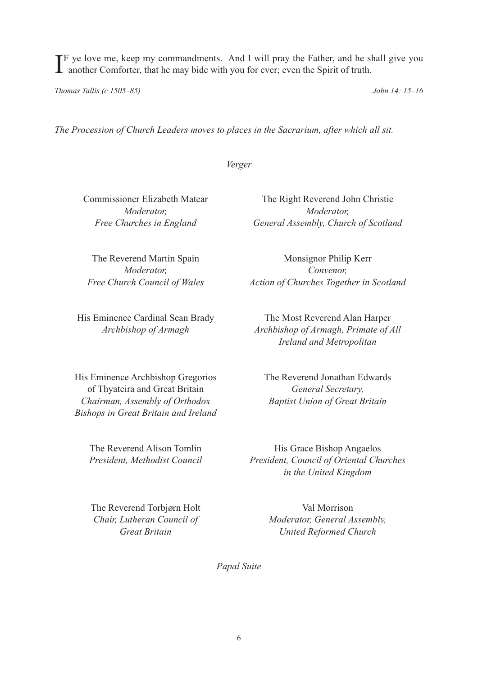If ye love me, keep my commandments. And I will pray the Father, and he shall give you another Comforter, that he may bide with you for ever; even the Spirit of truth. another Comforter, that he may bide with you for ever; even the Spirit of truth.

*Thomas Tallis (c 1505–85) John 14: 15–16*

*The Procession of Church Leaders moves to places in the Sacrarium, after which all sit.*

*Verger*

Commissioner Elizabeth Matear The Right Reverend John Christie *Moderator, Moderator, Free Churches in England General Assembly, Church of Scotland*

The Reverend Martin Spain Monsignor Philip Kerr

His Eminence Cardinal Sean Brady The Most Reverend Alan Harper

His Eminence Archbishop Gregorios The Reverend Jonathan Edwards of Thyateira and Great Britain *General Secretary, Chairman, Assembly of Orthodox Baptist Union of Great Britain Bishops in Great Britain and Ireland*

*Moderator, Convenor, Free Church Council of Wales Action of Churches Together in Scotland*

*Archbishop of Armagh Archbishop of Armagh, Primate of All Ireland and Metropolitan*

The Reverend Alison Tomlin His Grace Bishop Angaelos *President, Methodist Council President, Council of Oriental Churches in the United Kingdom*

The Reverend Torbjørn Holt Val Morrison

*Chair, Lutheran Council of Moderator, General Assembly, Great Britain United Reformed Church*

*Papal Suite*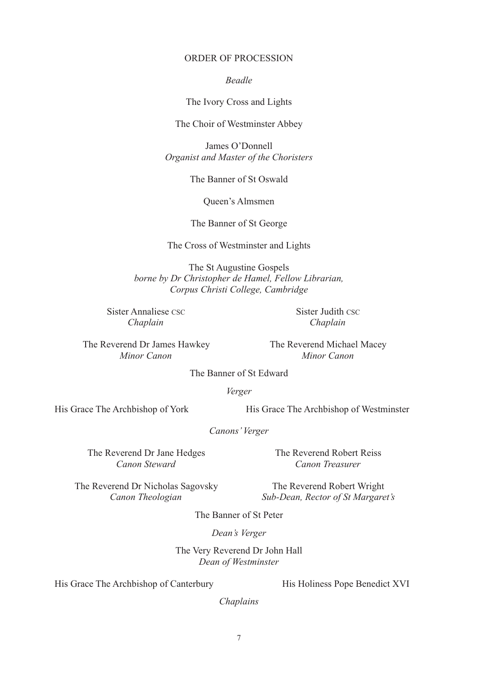#### ORDER OF PROCESSION

*Beadle*

The Ivory Cross and Lights

The Choir of Westminster Abbey

James O'Donnell *Organist and Master of the Choristers*

The Banner of St Oswald

Queen's Almsmen

The Banner of St George

The Cross of Westminster and Lights

The St Augustine Gospels *borne by Dr Christopher de Hamel, Fellow Librarian, Corpus Christi College, Cambridge*

Sister Annaliese CSC Sister Judith CSC *Chaplain Chaplain*

The Reverend Dr James Hawkey The Reverend Michael Macey *Minor Canon Minor Canon*

The Banner of St Edward

*Verger*

His Grace The Archbishop of York His Grace The Archbishop of Westminster

*Canons'Verger*

The Reverend Dr Jane Hedges The Reverend Robert Reiss *Canon Steward Canon Treasurer*

The Reverend Dr Nicholas Sagovsky The Reverend Robert Wright

*Canon Theologian Sub-Dean, Rector of St Margaret's*

The Banner of St Peter

*Dean's Verger*

The Very Reverend Dr John Hall *Dean of Westminster*

His Grace The Archbishop of Canterbury His Holiness Pope Benedict XVI

*Chaplains*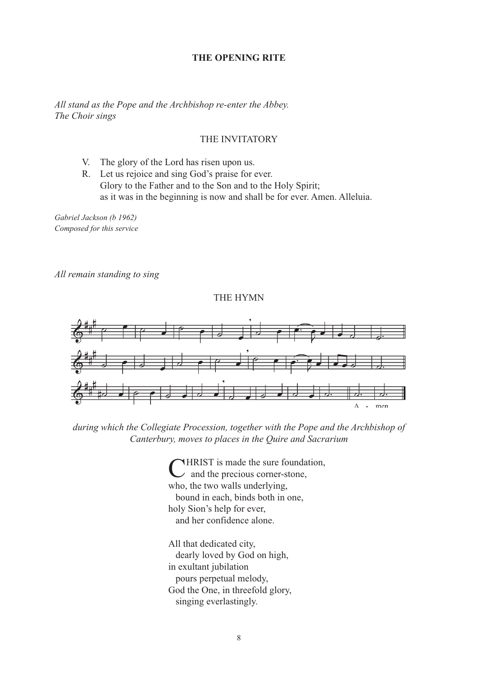#### **THE OPENING RITE**

*All stand as the Pope and the Archbishop re-enter the Abbey. The Choir sings*

#### THE INVITATORY

- V. The glory of the Lord has risen upon us.
- R. Let us rejoice and sing God's praise for ever. Glory to the Father and to the Son and to the Holy Spirit; as it was in the beginning is now and shall be for ever. Amen. Alleluia.

*Gabriel Jackson (b 1962) Composed for this service*

*All remain standing to sing*

THE HYMN



*during which the Collegiate Procession, together with the Pope and the Archbishop of Canterbury, moves to places in the Quire and Sacrarium*

**HRIST** is made the sure foundation, and the precious corner-stone, who, the two walls underlying, bound in each, binds both in one, holy Sion's help for ever, and her confidence alone.

All that dedicated city, dearly loved by God on high, in exultant jubilation pours perpetual melody, God the One, in threefold glory, singing everlastingly.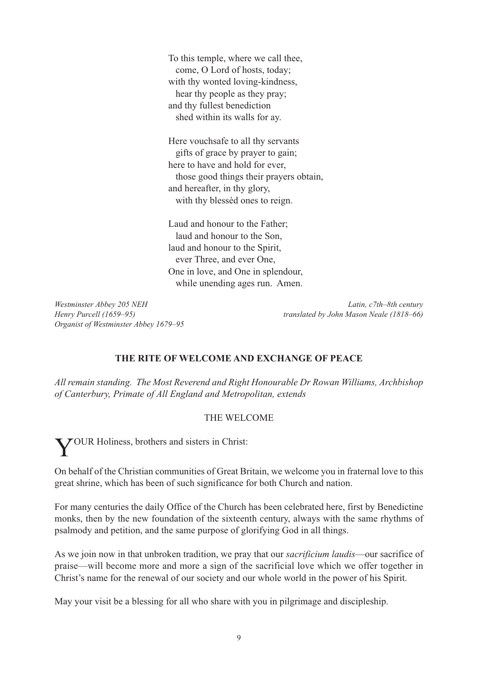To this temple, where we call thee, come, O Lord of hosts, today; with thy wonted loving-kindness, hear thy people as they pray; and thy fullest benediction shed within its walls for ay.

Here vouchsafe to all thy servants gifts of grace by prayer to gain; here to have and hold for ever, those good things their prayers obtain, and hereafter, in thy glory, with thy blessèd ones to reign.

Laud and honour to the Father; laud and honour to the Son, laud and honour to the Spirit, ever Three, and ever One, One in love, and One in splendour, while unending ages run. Amen.

*Organist of Westminster Abbey 1679–95*

*Westminster Abbey 205 NEH Latin, c7th–8th century Henry Purcell (1659–95) translated by John Mason Neale (1818–66)*

## **THE RITE OF WELCOME AND EXCHANGE OF PEACE**

*All remain standing. The Most Reverend and Right Honourable Dr Rowan Williams, Archbishop of Canterbury, Primate of All England and Metropolitan, extends*

#### THE WELCOME

YOUR Holiness, brothers and sisters in Christ:

On behalf of the Christian communities of Great Britain, we welcome you in fraternal love to this great shrine, which has been of such significance for both Church and nation.

For many centuries the daily Office of the Church has been celebrated here, first by Benedictine monks, then by the new foundation of the sixteenth century, always with the same rhythms of psalmody and petition, and the same purpose of glorifying God in all things.

As we join now in that unbroken tradition, we pray that our *sacrificium laudis*—our sacrifice of praise—will become more and more a sign of the sacrificial love which we offer together in Christ's name for the renewal of our society and our whole world in the power of his Spirit.

May your visit be a blessing for all who share with you in pilgrimage and discipleship.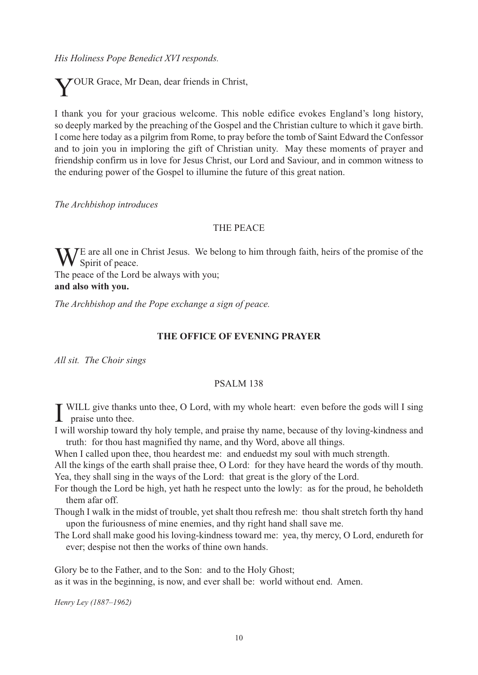*His Holiness Pope Benedict XVI responds.*

YOUR Grace, Mr Dean, dear friends in Christ,

I thank you for your gracious welcome. This noble edifice evokes England's long history, so deeply marked by the preaching of the Gospel and the Christian culture to which it gave birth. I come here today as a pilgrim from Rome, to pray before the tomb of Saint Edward the Confessor and to join you in imploring the gift of Christian unity. May these moments of prayer and friendship confirm us in love for Jesus Christ, our Lord and Saviour, and in common witness to the enduring power of the Gospel to illumine the future of this great nation.

*The Archbishop introduces*

#### THE PEACE

 $W_{\text{Smirit of nodes}}$  $\bf{V}$  Spirit of peace.

The peace of the Lord be always with you; **and also with you.**

*The Archbishop and the Pope exchange a sign of peace.*

#### **THE OFFICE OF EVENING PRAYER**

*All sit. The Choir sings*

#### PSALM 138

**I** WILL give thanks WILL give thanks unto thee, O Lord, with my whole heart: even before the gods will I sing

I will worship toward thy holy temple, and praise thy name, because of thy loving-kindness and truth: for thou hast magnified thy name, and thy Word, above all things.

When I called upon thee, thou heardest me: and enduedst my soul with much strength.

All the kings of the earth shall praise thee, O Lord: for they have heard the words of thy mouth. Yea, they shall sing in the ways of the Lord: that great is the glory of the Lord.

For though the Lord be high, yet hath he respect unto the lowly: as for the proud, he beholdeth them afar off.

Though I walk in the midst of trouble, yet shalt thou refresh me: thou shalt stretch forth thy hand upon the furiousness of mine enemies, and thy right hand shall save me.

The Lord shall make good his loving-kindness toward me: yea, thy mercy, O Lord, endureth for ever; despise not then the works of thine own hands.

Glory be to the Father, and to the Son: and to the Holy Ghost; as it was in the beginning, is now, and ever shall be: world without end. Amen.

*Henry Ley (1887–1962)*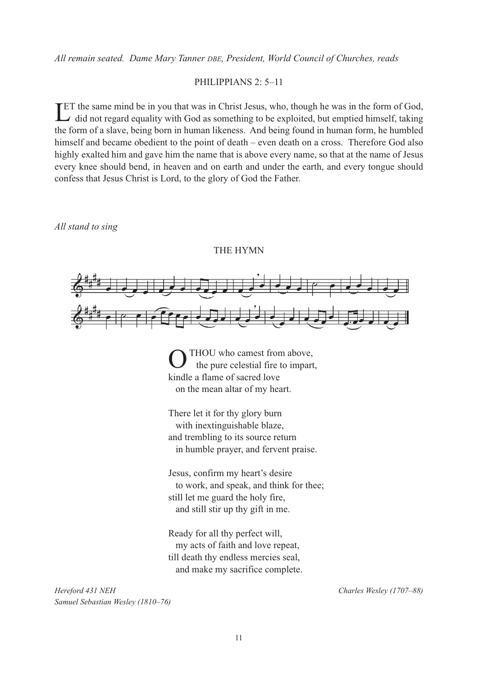*All remain seated. Dame Mary Tanner DBE, President, World Council of Churches, reads*

#### PHILIPPIANS 2: 5–11

ET the same mind be in you that was in Christ Jesus, who, though he was in the form of God, did not regard equality with God as something to be exploited, but emptied himself, taking  $\rightarrow$  did not regard equality with God as something to be exploited, but emptied himself, taking the form of a slave, being born in human likeness. And being found in human form, he humbled himself and became obedient to the point of death – even death on a cross. Therefore God also highly exalted him and gave him the name that is above every name, so that at the name of Jesus every knee should bend, in heaven and on earth and under the earth, and every tongue should confess that Jesus Christ is Lord, to the glory of God the Father.

*All stand to sing*





OTHOU who camest from above, the pure celestial fire to impart, kindle a flame of sacred love on the mean altar of my heart.

There let it for thy glory burn with inextinguishable blaze, and trembling to its source return in humble prayer, and fervent praise.

Jesus, confirm my heart's desire to work, and speak, and think for thee; still let me guard the holy fire, and still stir up thy gift in me.

Ready for all thy perfect will, my acts of faith and love repeat, till death thy endless mercies seal, and make my sacrifice complete.

*Hereford 431 NEH Charles Wesley (1707–88) Samuel Sebastian Wesley (1810–76)*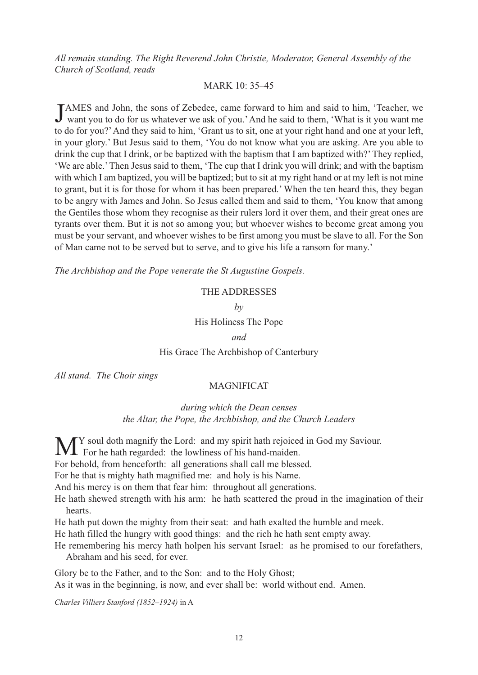*All remain standing. The Right Reverend John Christie, Moderator, General Assembly of the Church of Scotland, reads*

#### MARK 10: 35–45

JAMES and John, the sons of Zebedee, came forward to him and said to him, 'Teacher, we<br>want you to do for us whatever we ask of you.'And he said to them, 'What is it you want me AMES and John, the sons of Zebedee, came forward to him and said to him, 'Teacher, we to do for you?'And they said to him, 'Grant us to sit, one at your right hand and one at your left, in your glory.' But Jesus said to them, 'You do not know what you are asking. Are you able to drink the cup that I drink, or be baptized with the baptism that I am baptized with?'They replied, 'We are able.'Then Jesus said to them, 'The cup that I drink you will drink; and with the baptism with which I am baptized, you will be baptized; but to sit at my right hand or at my left is not mine to grant, but it is for those for whom it has been prepared.' When the ten heard this, they began to be angry with James and John. So Jesus called them and said to them, 'You know that among the Gentiles those whom they recognise as their rulers lord it over them, and their great ones are tyrants over them. But it is not so among you; but whoever wishes to become great among you must be your servant, and whoever wishes to be first among you must be slave to all. For the Son of Man came not to be served but to serve, and to give his life a ransom for many.'

*The Archbishop and the Pope venerate the St Augustine Gospels.*

#### THE ADDRESSES

*by*

#### His Holiness The Pope

*and*

#### His Grace The Archbishop of Canterbury

*All stand. The Choir sings*

#### **MAGNIFICAT**

#### *during which the Dean censes the Altar, the Pope, the Archbishop, and the Church Leaders*

M<sup>Y</sup> soul doth magnify the Lord: and my spirit hath rejoiced in God my Saviour.<br>For he hath regarded: the lowliness of his hand-maiden. For behold, from henceforth: all generations shall call me blessed. For he that is mighty hath magnified me: and holy is his Name. And his mercy is on them that fear him: throughout all generations. He hath shewed strength with his arm: he hath scattered the proud in the imagination of their hearts.

He hath put down the mighty from their seat: and hath exalted the humble and meek.

He hath filled the hungry with good things: and the rich he hath sent empty away.

He remembering his mercy hath holpen his servant Israel: as he promised to our forefathers, Abraham and his seed, for ever.

Glory be to the Father, and to the Son: and to the Holy Ghost;

As it was in the beginning, is now, and ever shall be: world without end. Amen.

*Charles Villiers Stanford (1852–1924)* in A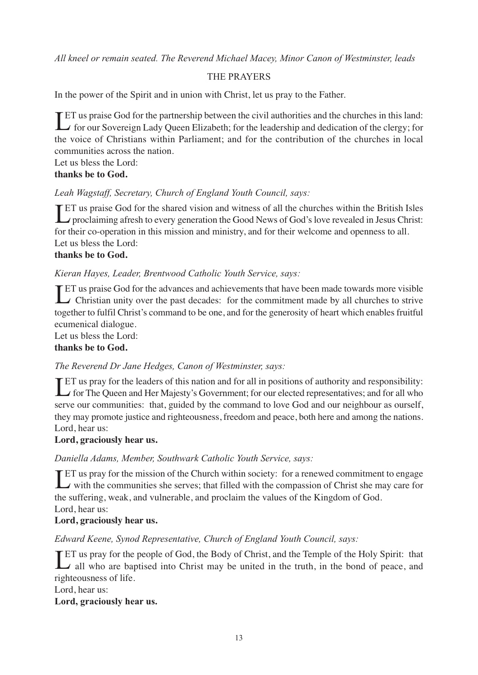*All kneel or remain seated. The Reverend Michael Macey, Minor Canon of Westminster, leads*

## THE PRAYERS

In the power of the Spirit and in union with Christ, let us pray to the Father.

LET us praise God for the partnership between the civil authorities and the churches in this land:<br>
for our Sovereign Lady Queen Elizabeth; for the leadership and dedication of the clergy; for **T**ET us praise God for the partnership between the civil authorities and the churches in this land: the voice of Christians within Parliament; and for the contribution of the churches in local communities across the nation.

Let us bless the Lord: **thanks be to God.**

#### *Leah Wagstaff, Secretary, Church of England Youth Council, says:*

ET us praise God for the shared vision and witness of all the churches within the British Isles<br>proclaiming afresh to every generation the Good News of God's love revealed in Jesus Christ: **T**ET us praise God for the shared vision and witness of all the churches within the British Isles for their co-operation in this mission and ministry, and for their welcome and openness to all. Let us bless the Lord:

#### **thanks be to God.**

#### *Kieran Hayes, Leader, Brentwood Catholic Youth Service, says:*

ET us praise God for the advances and achievements that have been made towards more visible<br>Christian unity over the past decades: for the commitment made by all churches to strive Christian unity over the past decades: for the commitment made by all churches to strive together to fulfil Christ's command to be one, and for the generosity of heart which enables fruitful ecumenical dialogue.

#### Let us bless the Lord: **thanks be to God.**

## *The Reverend Dr Jane Hedges, Canon of Westminster, says:*

ET us pray for the leaders of this nation and for all in positions of authority and responsibility:<br>
for The Queen and Her Majesty's Government; for our elected representatives; and for all who for The Queen and Her Majesty's Government; for our elected representatives; and for all who serve our communities: that, guided by the command to love God and our neighbour as ourself, they may promote justice and righteousness, freedom and peace, both here and among the nations. Lord, hear us:

#### **Lord, graciously hear us.**

#### *Daniella Adams, Member, Southwark Catholic Youth Service, says:*

ET us pray for the mission of the Church within society: for a renewed commitment to engage<br>with the communities she serves; that filled with the compassion of Christ she may care for  $\rightarrow$  with the communities she serves; that filled with the compassion of Christ she may care for the suffering, weak, and vulnerable, and proclaim the values of the Kingdom of God. Lord, hear us:

#### **Lord, graciously hear us.**

#### *Edward Keene, Synod Representative, Church of England Youth Council, says:*

**LET** us pray for the people of God, the Body of Christ, and the Temple of the Holy Spirit: that all who are baptised into Christ may be united in the truth, in the bond of peace, and  $\overline{\phantom{a}}$  all who are baptised into Christ may be united in the truth, in the bond of peace, and righteousness of life.

Lord, hear us:

#### **Lord, graciously hear us.**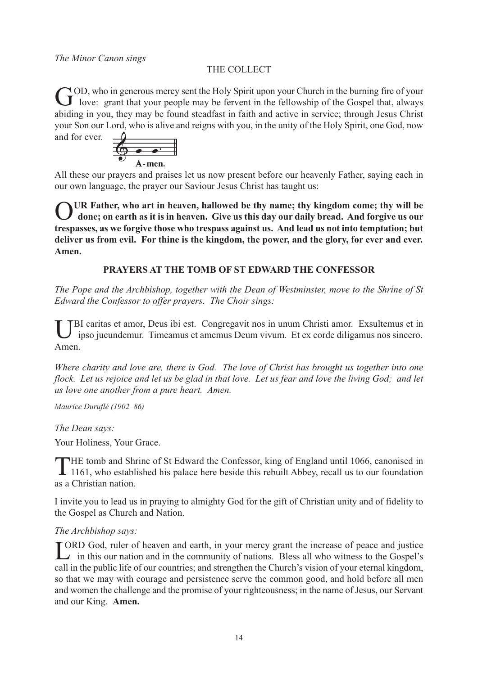## THE COLLECT

GOD, who in generous mercy sent the Holy Spirit upon your Church in the burning fire of your<br>lowe: grant that your people may be fervent in the fellowship of the Gospel that, always abiding in you, they may be found steadfast in faith and active in service; through Jesus Christ your Son our Lord, who is alive and reigns with you, in the unity of the Holy Spirit, one God, now and for ever.



All these our prayers and praises let us now present before our heavenly Father, saying each in our own language, the prayer our Saviour Jesus Christ has taught us:

O**UR Father, who art in heaven, hallowed be thy name; thy kingdom come; thy will be done; on earth as it is in heaven. Give us this day our daily bread. And forgive us our trespasses, as we forgive those who trespass against us. And lead us not into temptation; but deliver us from evil. For thine is the kingdom, the power, and the glory, for ever and ever. Amen.**

## **PRAYERS AT THE TOMB OF ST EDWARD THE CONFESSOR**

*The Pope and the Archbishop, together with the Dean of Westminster, move to the Shrine of St Edward the Confessor to offer prayers. The Choir sings:*

BI caritas et amor, Deus ibi est. Congregavit nos in unum Christi amor. Exsultemus et in ipso jucundemur. Timeamus et amemus Deum vivum. Et ex corde diligamus nos sincero. Amen.

*Where charity and love are, there is God. The love of Christ has brought us together into one* flock. Let us rejoice and let us be glad in that love. Let us fear and love the living God; and let *us love one another from a pure heart. Amen.*

*Maurice Duruflé (1902–86)*

*The Dean says:*

Your Holiness, Your Grace.

THE tomb and Shrine of St Edward the Confessor, king of England until 1066, canonised in 1161, who established his palace here beside this rebuilt Abbey, recall us to our foundation as a Christian nation.

I invite you to lead us in praying to almighty God for the gift of Christian unity and of fidelity to the Gospel as Church and Nation.

#### *The Archbishop says:*

LORD God, ruler of heaven and earth, in your mercy grant the increase of peace and justice<br>in this our nation and in the community of nations. Bless all who witness to the Gospel's  $\rightarrow$  in this our nation and in the community of nations. Bless all who witness to the Gospel's call in the public life of our countries; and strengthen the Church's vision of your eternal kingdom, so that we may with courage and persistence serve the common good, and hold before all men and women the challenge and the promise of your righteousness; in the name of Jesus, our Servant and our King. **Amen.**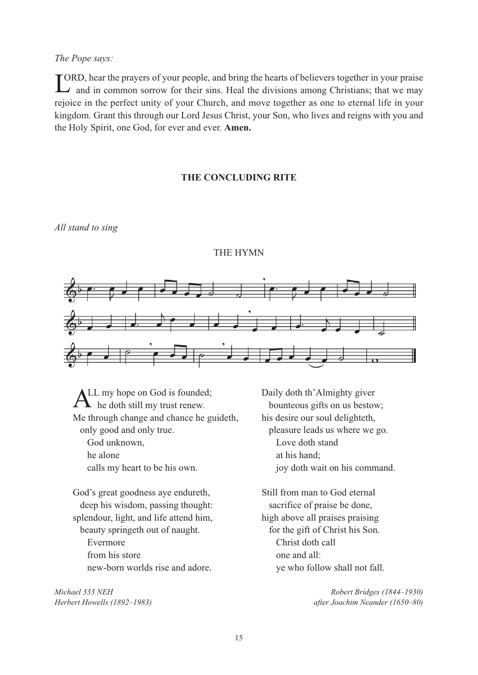#### *The Pope says:*

LORD, hear the prayers of your people, and bring the hearts of believers together in your praise<br>and in common sorrow for their sins. Heal the divisions among Christians; that we may  $\rightarrow$  and in common sorrow for their sins. Heal the divisions among Christians; that we may rejoice in the perfect unity of your Church, and move together as one to eternal life in your kingdom. Grant this through our Lord Jesus Christ, your Son, who lives and reigns with you and the Holy Spirit, one God, for ever and ever. **Amen.**

#### **THE CONCLUDING RITE**

*All stand to sing*

#### THE HYMN



LL my hope on God is founded;<br>
he doth still my trust renew.<br>
bounteous gifts on us bestow<br>
through change and chance he guideth, his desire our soul delighteth, Me through change and chance he guideth, only good and only true. pleasure leads us where we go. God unknown, Love doth stand he alone at his hand;

God's great goodness aye endureth, Still from man to God eternal deep his wisdom, passing thought: sacrifice of praise be done, splendour, light, and life attend him, high above all praises praising beauty springeth out of naught. for the gift of Christ his Son. Evermore Christ doth call from his store one and all:

*Michael 333 NEH Robert Bridges (1844–1930)*

bounteous gifts on us bestow; calls my heart to be his own. joy doth wait on his command.

new-born worlds rise and adore. ye who follow shall not fall.

*Herbert Howells (1892–1983) after Joachim Neander (1650–80)*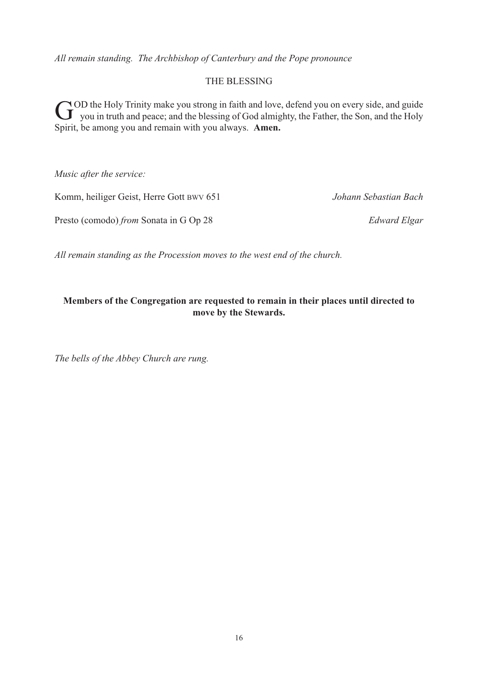*All remain standing. The Archbishop of Canterbury and the Pope pronounce*

#### THE BLESSING

GOD the Holy Trinity make you strong in faith and love, defend you on every side, and guide<br>you in truth and peace; and the blessing of God almighty, the Father, the Son, and the Holy Spirit, be among you and remain with you always. **Amen.**

*Music after the service:*

Komm, heiliger Geist, Herre Gott BWV 651 *Johann Sebastian Bach*

Presto (comodo) *from* Sonata in G Op 28 *Edward Elgar*

*All remain standing as the Procession moves to the west end of the church.*

#### **Members of the Congregation are requested to remain in their places until directed to move by the Stewards.**

*The bells of the Abbey Church are rung.*